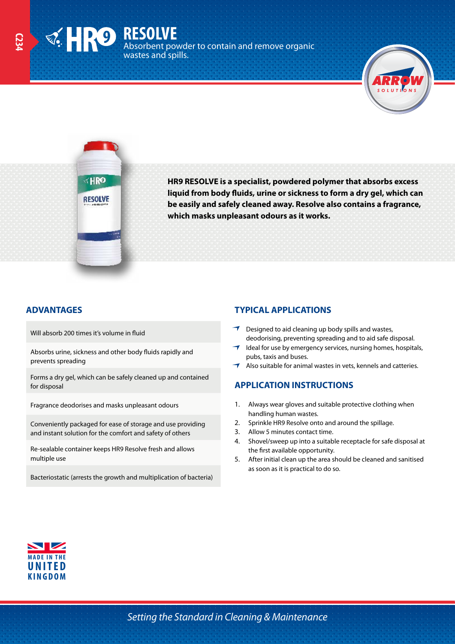**RESOLVE** Absorbent powder to contain and remove organic wastes and spills.



**KHRO RESOLVE** 

**HR9 RESOLVE is a specialist, powdered polymer that absorbs excess liquid from body fluids, urine or sickness to form a dry gel, which can be easily and safely cleaned away. Resolve also contains a fragrance, which masks unpleasant odours as it works.**

Will absorb 200 times it's volume in fluid

Absorbs urine, sickness and other body fluids rapidly and prevents spreading

Forms a dry gel, which can be safely cleaned up and contained for disposal

Fragrance deodorises and masks unpleasant odours

Conveniently packaged for ease of storage and use providing and instant solution for the comfort and safety of others

Re-sealable container keeps HR9 Resolve fresh and allows multiple use

Bacteriostatic (arrests the growth and multiplication of bacteria)

## **ADVANTAGES TYPICAL APPLICATIONS**

- $\rightarrow$  Designed to aid cleaning up body spills and wastes, deodorising, preventing spreading and to aid safe disposal.
- $\rightarrow$  Ideal for use by emergency services, nursing homes, hospitals, pubs, taxis and buses.
- Also suitable for animal wastes in vets, kennels and catteries.

### **APPLICATION INSTRUCTIONS**

- 1. Always wear gloves and suitable protective clothing when handling human wastes.
- 2. Sprinkle HR9 Resolve onto and around the spillage.
- 3. Allow 5 minutes contact time.
- 4. Shovel/sweep up into a suitable receptacle for safe disposal at the first available opportunity.
- 5. After initial clean up the area should be cleaned and sanitised as soon as it is practical to do so.